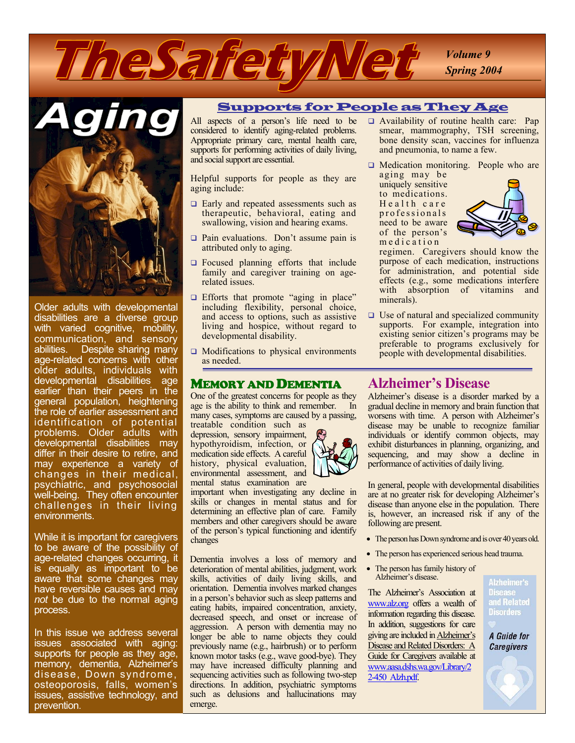



Older adults with developmental disabilities are a diverse group with varied cognitive, mobility, communication, and sensory abilities. Despite sharing many age-related concerns with other older adults, individuals with developmental disabilities age earlier than their peers in the general population, heightening the role of earlier assessment and identification of potential problems. Older adults with developmental disabilities may differ in their desire to retire, and may experience a variety of changes in their medical, psychiatric, and psychosocial well-being. They often encounter challenges in their living environments.

While it is important for caregivers to be aware of the possibility of age-related changes occurring, it is equally as important to be aware that some changes may have reversible causes and may *not* be due to the normal aging process.

In this issue we address several issues associated with aging: supports for people as they age, memory, dementia, Alzheimer's disease, Down syndrome, osteoporosis, falls, women's issues, assistive technology, and prevention.

#### Supports for People as They Age

All aspects of a person's life need to be considered to identify aging-related problems. Appropriate primary care, mental health care, supports for performing activities of daily living, and social support are essential.

Helpful supports for people as they are aging include:

- Early and repeated assessments such as therapeutic, behavioral, eating and swallowing, vision and hearing exams.
- Pain evaluations. Don't assume pain is attributed only to aging.
- G Focused planning efforts that include family and caregiver training on agerelated issues.
- **Efforts that promote "aging in place"** including flexibility, personal choice, and access to options, such as assistive living and hospice, without regard to developmental disability.
- □ Modifications to physical environments as needed.

#### MEMORY AND DEMENTIA

One of the greatest concerns for people as they age is the ability to think and remember. In many cases, symptoms are caused by a passing,

treatable condition such as depression, sensory impairment, hypothyroidism, infection, or medication side effects. A careful history, physical evaluation, environmental assessment, and mental status examination are

important when investigating any decline in skills or changes in mental status and for determining an effective plan of care. Family members and other caregivers should be aware of the person's typical functioning and identify changes

Dementia involves a loss of memory and deterioration of mental abilities, judgment, work skills, activities of daily living skills, and orientation. Dementia involves marked changes in a person's behavior such as sleep patterns and eating habits, impaired concentration, anxiety, decreased speech, and onset or increase of aggression. A person with dementia may no longer be able to name objects they could previously name (e.g., hairbrush) or to perform known motor tasks (e.g., wave good-bye). They may have increased difficulty planning and sequencing activities such as following two-step directions. In addition, psychiatric symptoms such as delusions and hallucinations may emerge.

- Availability of routine health care: Pap smear, mammography, TSH screening, bone density scan, vaccines for influenza and pneumonia, to name a few.
- □ Medication monitoring. People who are aging may be

Health care professionals uniquely sensitive to medications. need to be aware of the person's m e d i cat i on



regimen. Caregivers should know the purpose of each medication, instructions for administration, and potential side effects (e.g., some medications interfere with absorption of vitamins and minerals).

□ Use of natural and specialized community supports. For example, integration into existing senior citizen's programs may be preferable to programs exclusively for people with developmental disabilities.

### **Alzheimer's Disease**

Alzheimer's disease is a disorder marked by a gradual decline in memory and brain function that worsens with time. A person with Alzheimer's disease may be unable to recognize familiar individuals or identify common objects, may exhibit disturbances in planning, organizing, and sequencing, and may show a decline in performance of activities of daily living.

In general, people with developmental disabilities are at no greater risk for developing Alzheimer's disease than anyone else in the population. There is, however, an increased risk if any of the following are present.

- The person has Down syndrome and is over 40 years old.
- The person has experienced serious head trauma.
- The person has family history of Alzheimer's disease.

The Alzheimer's Association at www.alz.org offers a wealth of information regarding this disease. In addition, suggestions for care giving are included in Alzheimer's Disease and Related Disorders: A Guide for Caregivers available at www.aasa.dshs.wa.gov/Library/2 2-450\_Alzh.pdf.

#### Alzheimer's **Disease** and Related **Disorders**

A Guide for **Caregivers**